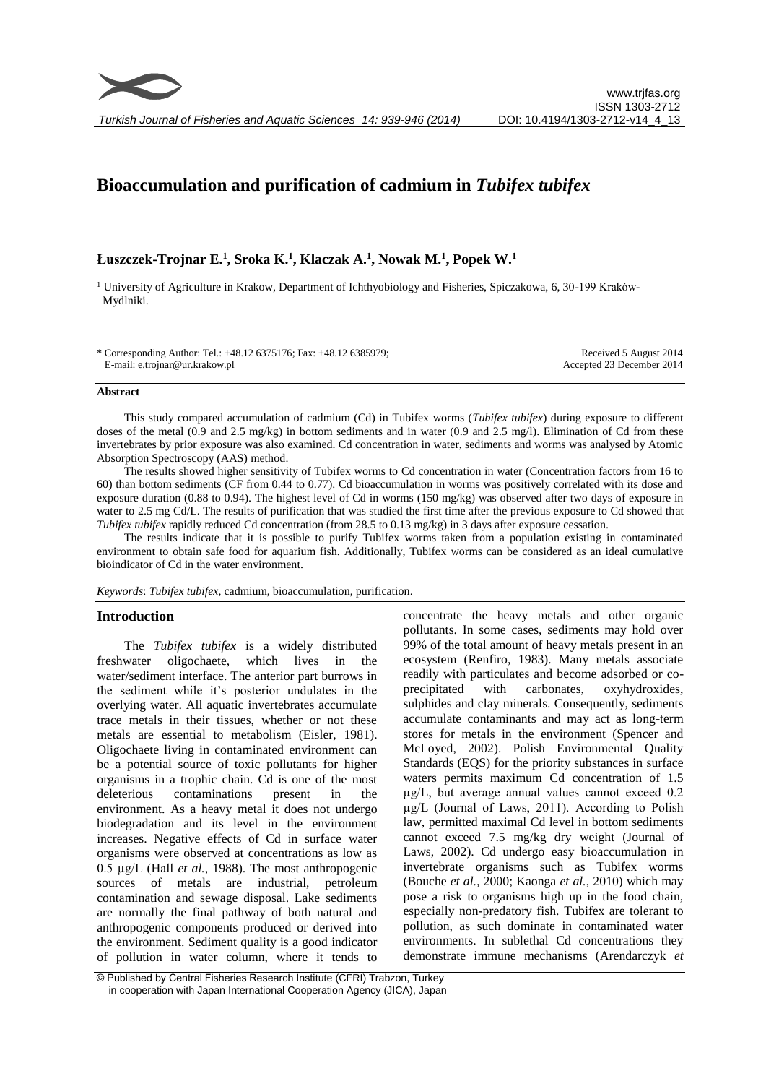

*Turkish Journal of Fisheries and Aquatic Sciences 14: 939-946 (2014)*

# **Bioaccumulation and purification of cadmium in** *Tubifex tubifex*

# **Łuszczek-Trojnar E.<sup>1</sup> , Sroka K.<sup>1</sup> , Klaczak A.<sup>1</sup> , Nowak M.<sup>1</sup> , Popek W.<sup>1</sup>**

<sup>1</sup> University of Agriculture in Krakow, Department of Ichthyobiology and Fisheries, Spiczakowa, 6, 30-199 Kraków- Mydlniki.

\* Corresponding Author: Tel.: +48.12 6375176; Fax: +48.12 6385979; E-mail: e.trojnar@ur.krakow.pl

Received 5 August 2014 Accepted 23 December 2014

#### **Abstract**

This study compared accumulation of cadmium (Cd) in Tubifex worms (*Tubifex tubifex*) during exposure to different doses of the metal (0.9 and 2.5 mg/kg) in bottom sediments and in water (0.9 and 2.5 mg/l). Elimination of Cd from these invertebrates by prior exposure was also examined. Cd concentration in water, sediments and worms was analysed by Atomic Absorption Spectroscopy (AAS) method.

The results showed higher sensitivity of Tubifex worms to Cd concentration in water (Concentration factors from 16 to 60) than bottom sediments (CF from 0.44 to 0.77). Cd bioaccumulation in worms was positively correlated with its dose and exposure duration (0.88 to 0.94). The highest level of Cd in worms (150 mg/kg) was observed after two days of exposure in water to 2.5 mg Cd/L. The results of purification that was studied the first time after the previous exposure to Cd showed that *Tubifex tubifex* rapidly reduced Cd concentration (from 28.5 to 0.13 mg/kg) in 3 days after exposure cessation.

The results indicate that it is possible to purify Tubifex worms taken from a population existing in contaminated environment to obtain safe food for aquarium fish. Additionally, Tubifex worms can be considered as an ideal cumulative bioindicator of Cd in the water environment.

*Keywords*: *Tubifex tubifex*, cadmium, bioaccumulation, purification.

#### **Introduction**

The *Tubifex tubifex* is a widely distributed freshwater oligochaete, which lives in the water/sediment interface. The anterior part burrows in the sediment while it's posterior undulates in the overlying water. All aquatic invertebrates accumulate trace metals in their tissues, whether or not these metals are essential to metabolism (Eisler, 1981). Oligochaete living in contaminated environment can be a potential source of toxic pollutants for higher organisms in a trophic chain. Cd is one of the most deleterious contaminations present in the environment. As a heavy metal it does not undergo biodegradation and its level in the environment increases. Negative effects of Cd in surface water organisms were observed at concentrations as low as 0.5 µg/L (Hall *et al.*, 1988). The most anthropogenic sources of metals are industrial, petroleum contamination and sewage disposal. Lake sediments are normally the final pathway of both natural and anthropogenic components produced or derived into the environment. Sediment quality is a good indicator of pollution in water column, where it tends to concentrate the heavy metals and other organic pollutants. In some cases, sediments may hold over 99% of the total amount of heavy metals present in an ecosystem (Renfiro, 1983). Many metals associate readily with particulates and become adsorbed or coprecipitated with carbonates, oxyhydroxides, sulphides and clay minerals. Consequently, sediments accumulate contaminants and may act as long-term stores for metals in the environment (Spencer and McLoyed, 2002). Polish Environmental Quality Standards (EQS) for the priority substances in surface waters permits maximum Cd concentration of 1.5 µg/L, but average annual values cannot exceed 0.2 µg/L (Journal of Laws, 2011). According to Polish law, permitted maximal Cd level in bottom sediments cannot exceed 7.5 mg/kg dry weight (Journal of Laws, 2002). Cd undergo easy bioaccumulation in invertebrate organisms such as Tubifex worms (Bouche *et al.*, 2000; Kaonga *et al.*, 2010) which may pose a risk to organisms high up in the food chain, especially non-predatory fish. Tubifex are tolerant to pollution, as such dominate in contaminated water environments. In sublethal Cd concentrations they demonstrate immune mechanisms (Arendarczyk *et* 

<sup>©</sup> Published by Central Fisheries Research Institute (CFRI) Trabzon, Turkey in cooperation with Japan International Cooperation Agency (JICA), Japan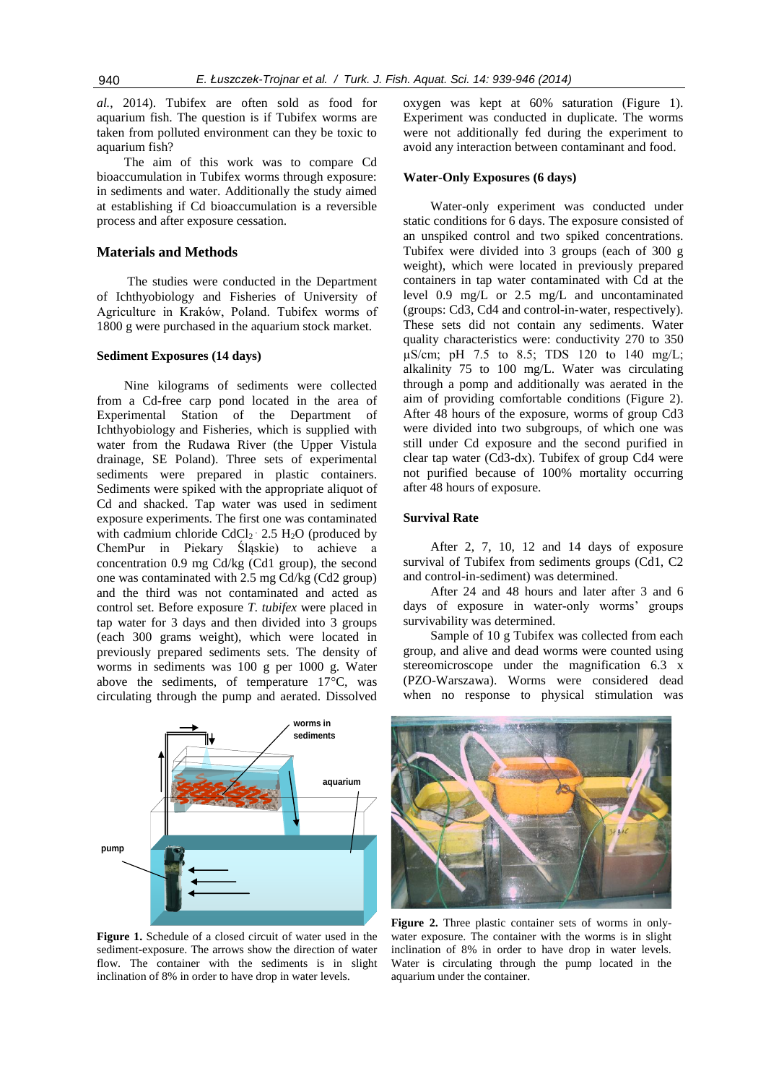*al.*, 2014). Tubifex are often sold as food for aquarium fish. The question is if Tubifex worms are taken from polluted environment can they be toxic to aquarium fish?

The aim of this work was to compare Cd bioaccumulation in Tubifex worms through exposure: in sediments and water. Additionally the study aimed at establishing if Cd bioaccumulation is a reversible process and after exposure cessation.

### **Materials and Methods**

The studies were conducted in the Department of Ichthyobiology and Fisheries of University of Agriculture in Kraków, Poland. Tubifex worms of 1800 g were purchased in the aquarium stock market.

#### **Sediment Exposures (14 days)**

Nine kilograms of sediments were collected from a Cd-free carp pond located in the area of Experimental Station of the Department of Ichthyobiology and Fisheries, which is supplied with water from the Rudawa River (the Upper Vistula drainage, SE Poland). Three sets of experimental sediments were prepared in plastic containers. Sediments were spiked with the appropriate aliquot of Cd and shacked. Tap water was used in sediment exposure experiments. The first one was contaminated with cadmium chloride  $CdCl<sub>2</sub> \cdot 2.5$  H<sub>2</sub>O (produced by ChemPur in Piekary Śląskie) to achieve a concentration 0.9 mg Cd/kg (Cd1 group), the second one was contaminated with 2.5 mg Cd/kg (Cd2 group) and the third was not contaminated and acted as control set. Before exposure *T. tubifex* were placed in tap water for 3 days and then divided into 3 groups (each 300 grams weight), which were located in previously prepared sediments sets. The density of worms in sediments was 100 g per 1000 g. Water above the sediments, of temperature 17°C, was circulating through the pump and aerated. Dissolved



**Figure 1.** Schedule of a closed circuit of water used in the sediment-exposure. The arrows show the direction of water flow. The container with the sediments is in slight inclination of 8% in order to have drop in water levels.

oxygen was kept at 60% saturation (Figure 1). Experiment was conducted in duplicate. The worms were not additionally fed during the experiment to avoid any interaction between contaminant and food.

# **Water-Only Exposures (6 days)**

Water-only experiment was conducted under static conditions for 6 days. The exposure consisted of an unspiked control and two spiked concentrations. Tubifex were divided into 3 groups (each of 300 g weight), which were located in previously prepared containers in tap water contaminated with Cd at the level 0.9 mg/L or 2.5 mg/L and uncontaminated (groups: Cd3, Cd4 and control-in-water, respectively). These sets did not contain any sediments. Water quality characteristics were: conductivity 270 to 350  $\mu$ S/cm; pH 7.5 to 8.5; TDS 120 to 140 mg/L; alkalinity 75 to 100 mg/L. Water was circulating through a pomp and additionally was aerated in the aim of providing comfortable conditions (Figure 2). After 48 hours of the exposure, worms of group Cd3 were divided into two subgroups, of which one was still under Cd exposure and the second purified in clear tap water (Cd3-dx). Tubifex of group Cd4 were not purified because of 100% mortality occurring after 48 hours of exposure.

# **Survival Rate**

After 2, 7, 10, 12 and 14 days of exposure survival of Tubifex from sediments groups (Cd1, C2 and control-in-sediment) was determined.

After 24 and 48 hours and later after 3 and 6 days of exposure in water-only worms' groups survivability was determined.

Sample of 10 g Tubifex was collected from each group, and alive and dead worms were counted using stereomicroscope under the magnification 6.3 x (PZO-Warszawa). Worms were considered dead when no response to physical stimulation was



**Figure 2.** Three plastic container sets of worms in onlywater exposure. The container with the worms is in slight inclination of 8% in order to have drop in water levels. Water is circulating through the pump located in the aquarium under the container.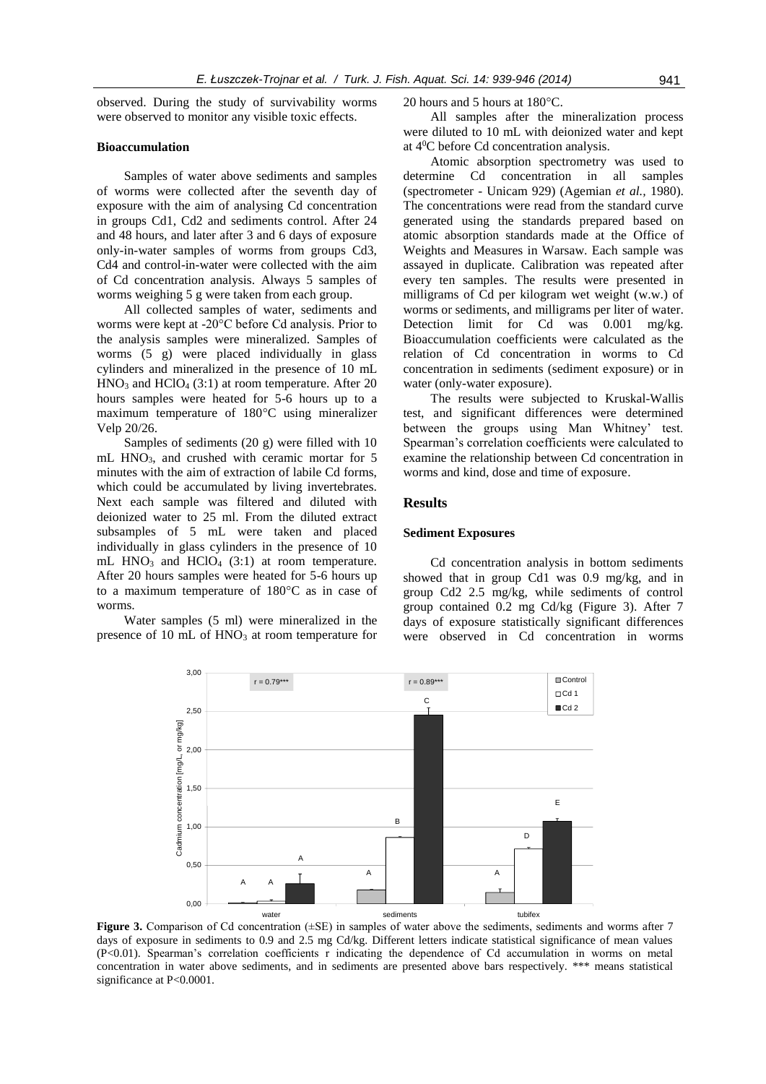observed. During the study of survivability worms were observed to monitor any visible toxic effects.

## **Bioaccumulation**

Samples of water above sediments and samples of worms were collected after the seventh day of exposure with the aim of analysing Cd concentration in groups Cd1, Cd2 and sediments control. After 24 and 48 hours, and later after 3 and 6 days of exposure only-in-water samples of worms from groups Cd3, Cd4 and control-in-water were collected with the aim of Cd concentration analysis. Always 5 samples of worms weighing 5 g were taken from each group.

All collected samples of water, sediments and worms were kept at -20°C before Cd analysis. Prior to the analysis samples were mineralized. Samples of worms (5 g) were placed individually in glass cylinders and mineralized in the presence of 10 mL  $HNO<sub>3</sub>$  and  $HClO<sub>4</sub>$  (3:1) at room temperature. After 20 hours samples were heated for 5-6 hours up to a maximum temperature of 180°C using mineralizer Velp 20/26.

Samples of sediments (20 g) were filled with 10 mL HNO<sub>3</sub>, and crushed with ceramic mortar for 5 minutes with the aim of extraction of labile Cd forms, which could be accumulated by living invertebrates. Next each sample was filtered and diluted with deionized water to 25 ml. From the diluted extract subsamples of 5 mL were taken and placed individually in glass cylinders in the presence of 10 mL  $HNO<sub>3</sub>$  and  $HClO<sub>4</sub>$  (3:1) at room temperature. After 20 hours samples were heated for 5-6 hours up to a maximum temperature of 180°C as in case of worms.

Water samples (5 ml) were mineralized in the presence of  $10 \text{ mL of HNO}_3$  at room temperature for 20 hours and 5 hours at 180°C.

All samples after the mineralization process were diluted to 10 mL with deionized water and kept at 4<sup>0</sup>C before Cd concentration analysis.

Atomic absorption spectrometry was used to determine Cd concentration in all samples (spectrometer - Unicam 929) (Agemian *et al.,* 1980). The concentrations were read from the standard curve generated using the standards prepared based on atomic absorption standards made at the Office of Weights and Measures in Warsaw. Each sample was assayed in duplicate. Calibration was repeated after every ten samples. The results were presented in milligrams of Cd per kilogram wet weight (w.w.) of worms or sediments, and milligrams per liter of water. Detection limit for Cd was 0.001 mg/kg. Bioaccumulation coefficients were calculated as the relation of Cd concentration in worms to Cd concentration in sediments (sediment exposure) or in water (only-water exposure).

The results were subjected to Kruskal-Wallis test, and significant differences were determined between the groups using Man Whitney' test. Spearman's correlation coefficients were calculated to examine the relationship between Cd concentration in worms and kind, dose and time of exposure.

# **Results**

#### **Sediment Exposures**

Cd concentration analysis in bottom sediments showed that in group Cd1 was 0.9 mg/kg, and in group Cd2 2.5 mg/kg, while sediments of control group contained 0.2 mg Cd/kg (Figure 3). After 7 days of exposure statistically significant differences were observed in Cd concentration in worms



**Figure 3.** Comparison of Cd concentration ( $\pm$ SE) in samples of water above the sediments, sediments and worms after 7 days of exposure in sediments to 0.9 and 2.5 mg Cd/kg. Different letters indicate statistical significance of mean values (P<0.01). Spearman's correlation coefficients r indicating the dependence of Cd accumulation in worms on metal concentration in water above sediments, and in sediments are presented above bars respectively. \*\*\* means statistical significance at P<0.0001.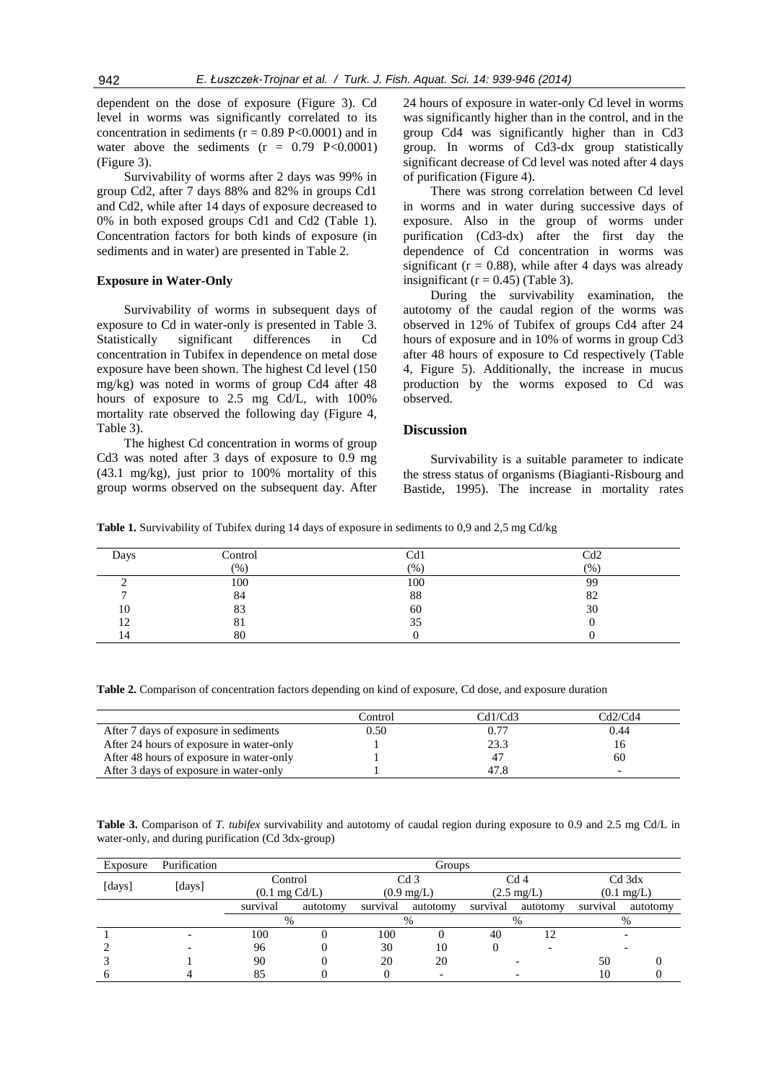dependent on the dose of exposure (Figure 3). Cd level in worms was significantly correlated to its concentration in sediments ( $r = 0.89$  P<0.0001) and in water above the sediments  $(r = 0.79 \text{ P} < 0.0001)$ (Figure 3).

Survivability of worms after 2 days was 99% in group Cd2, after 7 days 88% and 82% in groups Cd1 and Cd2, while after 14 days of exposure decreased to 0% in both exposed groups Cd1 and Cd2 (Table 1). Concentration factors for both kinds of exposure (in sediments and in water) are presented in Table 2.

#### **Exposure in Water-Only**

Survivability of worms in subsequent days of exposure to Cd in water-only is presented in Table 3. Statistically significant differences in Cd concentration in Tubifex in dependence on metal dose exposure have been shown. The highest Cd level (150 mg/kg) was noted in worms of group Cd4 after 48 hours of exposure to 2.5 mg Cd/L, with 100% mortality rate observed the following day (Figure 4, Table 3).

The highest Cd concentration in worms of group Cd3 was noted after 3 days of exposure to 0.9 mg  $(43.1 \text{ mg/kg})$ , just prior to 100% mortality of this group worms observed on the subsequent day. After

24 hours of exposure in water-only Cd level in worms was significantly higher than in the control, and in the group Cd4 was significantly higher than in Cd3 group. In worms of Cd3-dx group statistically significant decrease of Cd level was noted after 4 days of purification (Figure 4).

There was strong correlation between Cd level in worms and in water during successive days of exposure. Also in the group of worms under purification (Cd3-dx) after the first day the dependence of Cd concentration in worms was significant ( $r = 0.88$ ), while after 4 days was already insignificant ( $r = 0.45$ ) (Table 3).

During the survivability examination, the autotomy of the caudal region of the worms was observed in 12% of Tubifex of groups Cd4 after 24 hours of exposure and in 10% of worms in group Cd3 after 48 hours of exposure to Cd respectively (Table 4, Figure 5). Additionally, the increase in mucus production by the worms exposed to Cd was observed.

### **Discussion**

Survivability is a suitable parameter to indicate the stress status of organisms (Biagianti-Risbourg and Bastide, 1995). The increase in mortality rates

**Table 1.** Survivability of Tubifex during 14 days of exposure in sediments to 0,9 and 2,5 mg Cd/kg

| Days | Control | Cd1  | Cd2  |
|------|---------|------|------|
|      | $(\% )$ | (% ) | (% ) |
|      | 100     | 100  | 99   |
|      | 84      | 88   | 82   |
| 10   | 83      | 60   | 30   |
| 12   | 81      | 35   |      |
| 14   | 80      |      |      |

**Table 2.** Comparison of concentration factors depending on kind of exposure, Cd dose, and exposure duration

|                                          | Control | Cd1/Cd3 | Cd2/Cd4 |
|------------------------------------------|---------|---------|---------|
| After 7 days of exposure in sediments    | 0.50    |         | 0.44    |
| After 24 hours of exposure in water-only |         | 23.3    | LO      |
| After 48 hours of exposure in water-only |         |         | 60      |
| After 3 days of exposure in water-only   |         | 47.8    |         |

**Table 3.** Comparison of *T. tubifex* survivability and autotomy of caudal region during exposure to 0.9 and 2.5 mg Cd/L in water-only, and during purification (Cd 3dx-group)

| Exposure | Purification | Groups                   |          |                      |          |                      |          |                      |          |
|----------|--------------|--------------------------|----------|----------------------|----------|----------------------|----------|----------------------|----------|
|          |              | Control                  |          |                      | Cd 3     |                      | Cd 4     |                      | Cd 3dx   |
| [days]   | [days]       | $(0.1 \text{ mg } Cd/L)$ |          | $(0.9 \text{ mg/L})$ |          | $(2.5 \text{ mg/L})$ |          | $(0.1 \text{ mg/L})$ |          |
|          |              | survival                 | autotomy | survival             | autotomy | survival             | autotomy | survival             | autotomy |
|          |              | $\%$                     |          |                      | $\%$     |                      | %        |                      | $\%$     |
|          |              | 100                      |          | 100                  |          | 40                   |          |                      |          |
|          |              | 96                       |          | 30                   | 10       |                      |          |                      |          |
|          |              | 90                       |          | 20                   | 20       |                      |          | 50                   |          |
|          |              | 85                       |          |                      |          |                      |          | 10                   |          |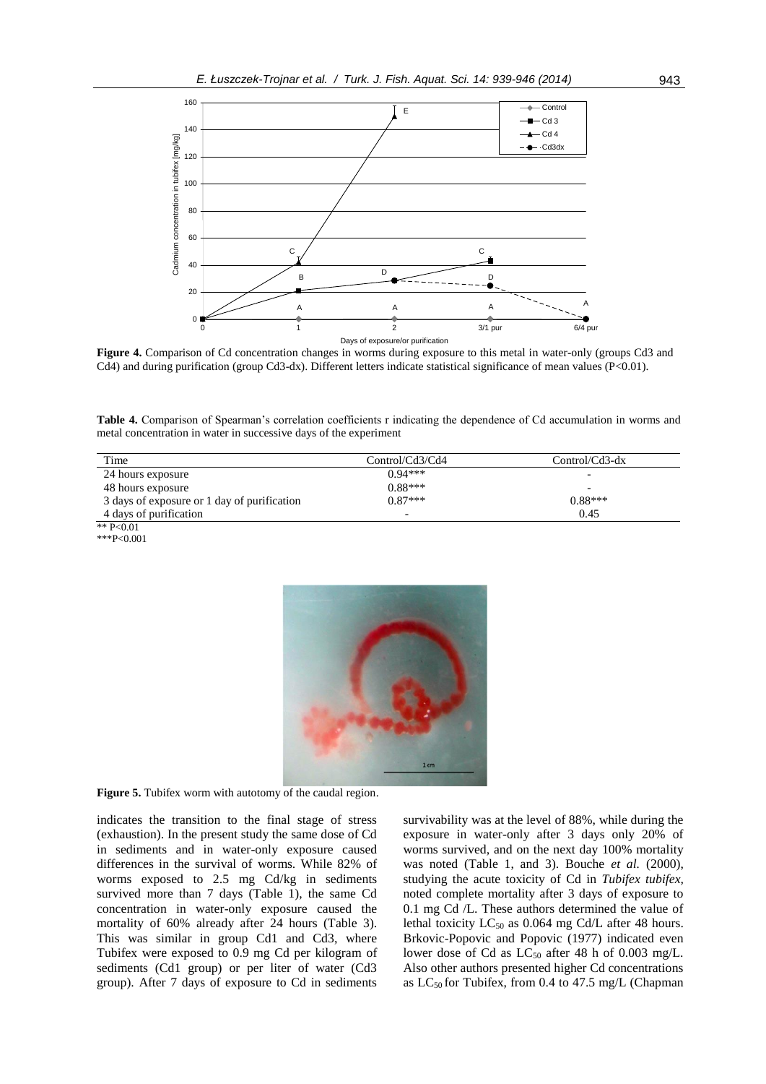

**Figure 4.** Comparison of Cd concentration changes in worms during exposure to this metal in water-only (groups Cd3 and Cd4) and during purification (group Cd3-dx). Different letters indicate statistical significance of mean values (P<0.01).

**Table 4.** Comparison of Spearman's correlation coefficients r indicating the dependence of Cd accumulation in worms and metal concentration in water in successive days of the experiment

| Time                                        | Control/Cd3/Cd4 | $Control/Cd3-dx$ |
|---------------------------------------------|-----------------|------------------|
| 24 hours exposure                           | $0.94***$       | -                |
| 48 hours exposure                           | $0.88***$       |                  |
| 3 days of exposure or 1 day of purification | $0.87***$       | $0.88***$        |
| 4 days of purification                      | -               | 0.45             |
| ** $P<0.01$                                 |                 |                  |

\*\*\*P<0.001



**Figure 5.** Tubifex worm with autotomy of the caudal region.

indicates the transition to the final stage of stress (exhaustion). In the present study the same dose of Cd in sediments and in water-only exposure caused differences in the survival of worms. While 82% of worms exposed to 2.5 mg Cd/kg in sediments survived more than 7 days (Table 1), the same Cd concentration in water-only exposure caused the mortality of 60% already after 24 hours (Table 3). This was similar in group Cd1 and Cd3, where Tubifex were exposed to 0.9 mg Cd per kilogram of sediments (Cd1 group) or per liter of water (Cd3 group). After 7 days of exposure to Cd in sediments survivability was at the level of 88%, while during the exposure in water-only after 3 days only 20% of worms survived, and on the next day 100% mortality was noted (Table 1, and 3). Bouche *et al.* (2000), studying the acute toxicity of Cd in *Tubifex tubifex,* noted complete mortality after 3 days of exposure to 0.1 mg Cd /L. These authors determined the value of lethal toxicity  $LC_{50}$  as 0.064 mg Cd/L after 48 hours. Brkovic-Popovic and Popovic (1977) indicated even lower dose of Cd as  $LC_{50}$  after 48 h of 0.003 mg/L. Also other authors presented higher Cd concentrations as  $LC_{50}$  for Tubifex, from 0.4 to 47.5 mg/L (Chapman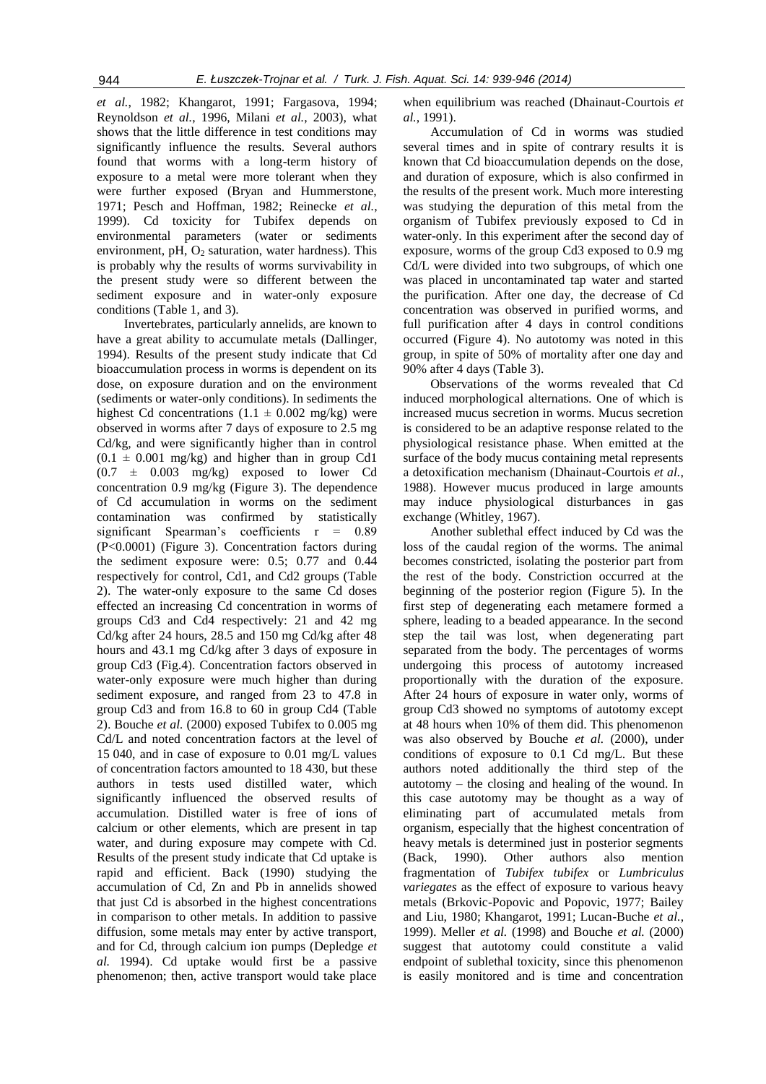*et al.*, 1982; Khangarot, 1991; Fargasova, 1994; Reynoldson *et al.*, 1996, Milani *et al.*, 2003), what shows that the little difference in test conditions may significantly influence the results. Several authors found that worms with a long-term history of exposure to a metal were more tolerant when they were further exposed (Bryan and Hummerstone, 1971; Pesch and Hoffman, 1982; Reinecke *et al.*, 1999). Cd toxicity for Tubifex depends on environmental parameters (water or sediments environment, pH,  $O_2$  saturation, water hardness). This is probably why the results of worms survivability in the present study were so different between the sediment exposure and in water-only exposure conditions (Table 1, and 3).

Invertebrates, particularly annelids, are known to have a great ability to accumulate metals (Dallinger, 1994). Results of the present study indicate that Cd bioaccumulation process in worms is dependent on its dose, on exposure duration and on the environment (sediments or water-only conditions). In sediments the highest Cd concentrations  $(1.1 \pm 0.002 \text{ mg/kg})$  were observed in worms after 7 days of exposure to 2.5 mg Cd/kg, and were significantly higher than in control  $(0.1 \pm 0.001 \text{ mg/kg})$  and higher than in group Cd1  $(0.7 \pm 0.003 \text{ mg/kg})$  exposed to lower Cd concentration 0.9 mg/kg (Figure 3). The dependence of Cd accumulation in worms on the sediment contamination was confirmed by statistically significant Spearman's coefficients r = 0.89 (P<0.0001) (Figure 3). Concentration factors during the sediment exposure were: 0.5; 0.77 and 0.44 respectively for control, Cd1, and Cd2 groups (Table 2). The water-only exposure to the same Cd doses effected an increasing Cd concentration in worms of groups Cd3 and Cd4 respectively: 21 and 42 mg Cd/kg after 24 hours, 28.5 and 150 mg Cd/kg after 48 hours and 43.1 mg Cd/kg after 3 days of exposure in group Cd3 (Fig.4). Concentration factors observed in water-only exposure were much higher than during sediment exposure, and ranged from 23 to 47.8 in group Cd3 and from 16.8 to 60 in group Cd4 (Table 2). Bouche *et al.* (2000) exposed Tubifex to 0.005 mg Cd/L and noted concentration factors at the level of 15 040, and in case of exposure to 0.01 mg/L values of concentration factors amounted to 18 430, but these authors in tests used distilled water, which significantly influenced the observed results of accumulation. Distilled water is free of ions of calcium or other elements, which are present in tap water, and during exposure may compete with Cd. Results of the present study indicate that Cd uptake is rapid and efficient. Back (1990) studying the accumulation of Cd, Zn and Pb in annelids showed that just Cd is absorbed in the highest concentrations in comparison to other metals. In addition to passive diffusion, some metals may enter by active transport, and for Cd, through calcium ion pumps (Depledge *et al.* 1994). Cd uptake would first be a passive phenomenon; then, active transport would take place when equilibrium was reached (Dhainaut-Courtois *et al.*, 1991).

Accumulation of Cd in worms was studied several times and in spite of contrary results it is known that Cd bioaccumulation depends on the dose, and duration of exposure, which is also confirmed in the results of the present work. Much more interesting was studying the depuration of this metal from the organism of Tubifex previously exposed to Cd in water-only. In this experiment after the second day of exposure, worms of the group Cd3 exposed to 0.9 mg Cd/L were divided into two subgroups, of which one was placed in uncontaminated tap water and started the purification. After one day, the decrease of Cd concentration was observed in purified worms, and full purification after 4 days in control conditions occurred (Figure 4). No autotomy was noted in this group, in spite of 50% of mortality after one day and 90% after 4 days (Table 3).

Observations of the worms revealed that Cd induced morphological alternations. One of which is increased mucus secretion in worms. Mucus secretion is considered to be an adaptive response related to the physiological resistance phase. When emitted at the surface of the body mucus containing metal represents a detoxification mechanism (Dhainaut-Courtois *et al.*, 1988). However mucus produced in large amounts may induce physiological disturbances in gas exchange (Whitley, 1967).

Another sublethal effect induced by Cd was the loss of the caudal region of the worms. The animal becomes constricted, isolating the posterior part from the rest of the body. Constriction occurred at the beginning of the posterior region (Figure 5). In the first step of degenerating each metamere formed a sphere, leading to a beaded appearance. In the second step the tail was lost, when degenerating part separated from the body. The percentages of worms undergoing this process of autotomy increased proportionally with the duration of the exposure. After 24 hours of exposure in water only, worms of group Cd3 showed no symptoms of autotomy except at 48 hours when 10% of them did. This phenomenon was also observed by Bouche *et al.* (2000), under conditions of exposure to 0.1 Cd mg/L. But these authors noted additionally the third step of the autotomy – the closing and healing of the wound. In this case autotomy may be thought as a way of eliminating part of accumulated metals from organism, especially that the highest concentration of heavy metals is determined just in posterior segments (Back, 1990). Other authors also mention fragmentation of *Tubifex tubifex* or *Lumbriculus variegates* as the effect of exposure to various heavy metals (Brkovic-Popovic and Popovic, 1977; Bailey and Liu, 1980; Khangarot, 1991; Lucan-Buche *et al.*, 1999). Meller *et al.* (1998) and Bouche *et al.* (2000) suggest that autotomy could constitute a valid endpoint of sublethal toxicity, since this phenomenon is easily monitored and is time and concentration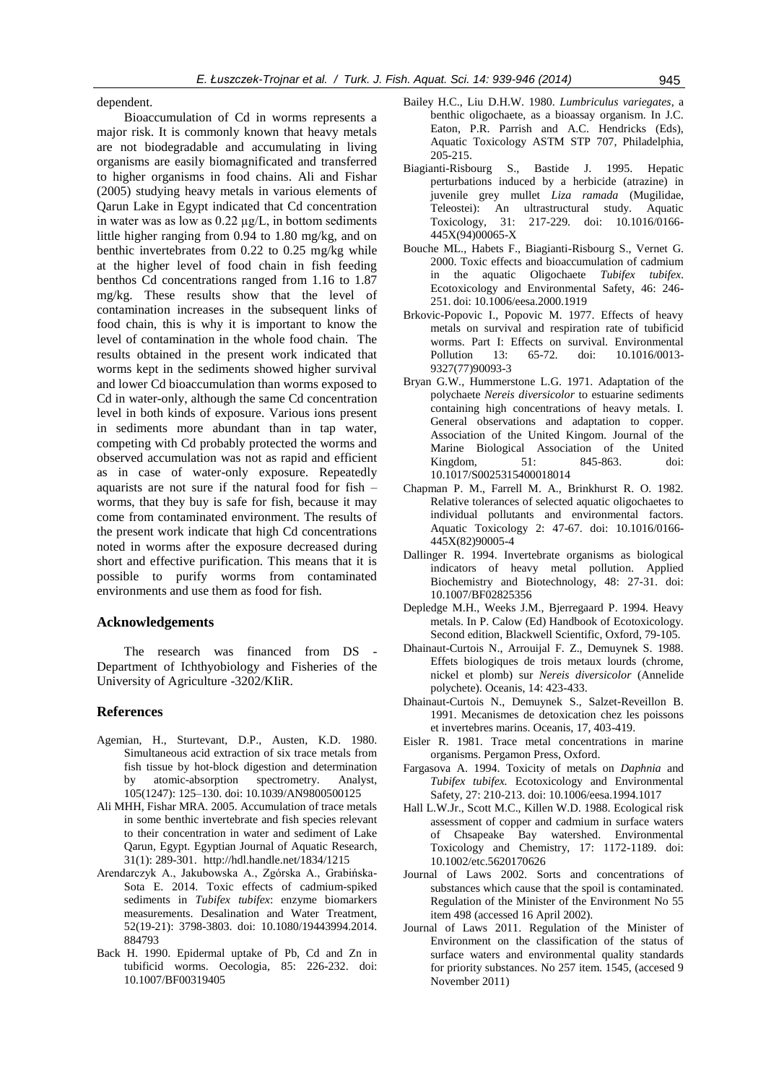dependent.

Bioaccumulation of Cd in worms represents a major risk. It is commonly known that heavy metals are not biodegradable and accumulating in living organisms are easily biomagnificated and transferred to higher organisms in food chains. Ali and Fishar (2005) studying heavy metals in various elements of Qarun Lake in Egypt indicated that Cd concentration in water was as low as  $0.22 \mu g/L$ , in bottom sediments little higher ranging from 0.94 to 1.80 mg/kg, and on benthic invertebrates from 0.22 to 0.25 mg/kg while at the higher level of food chain in fish feeding benthos Cd concentrations ranged from 1.16 to 1.87 mg/kg. These results show that the level of contamination increases in the subsequent links of food chain, this is why it is important to know the level of contamination in the whole food chain. The results obtained in the present work indicated that worms kept in the sediments showed higher survival and lower Cd bioaccumulation than worms exposed to Cd in water-only, although the same Cd concentration level in both kinds of exposure. Various ions present in sediments more abundant than in tap water, competing with Cd probably protected the worms and observed accumulation was not as rapid and efficient as in case of water-only exposure. Repeatedly aquarists are not sure if the natural food for fish – worms, that they buy is safe for fish, because it may come from contaminated environment. The results of the present work indicate that high Cd concentrations noted in worms after the exposure decreased during short and effective purification. This means that it is possible to purify worms from contaminated environments and use them as food for fish.

#### **Acknowledgements**

The research was financed from DS - Department of Ichthyobiology and Fisheries of the University of Agriculture -3202/KIiR.

# **References**

- Agemian, H., Sturtevant, D.P., Austen, K.D. 1980. Simultaneous acid extraction of six trace metals from fish tissue by hot-block digestion and determination by atomic-absorption spectrometry. Analyst, 105(1247): 125–130. doi: 10.1039/AN9800500125
- Ali MHH, Fishar MRA. 2005. Accumulation of trace metals in some benthic invertebrate and fish species relevant to their concentration in water and sediment of Lake Qarun, Egypt. Egyptian Journal of Aquatic Research, 31(1): 289-301. http://hdl.handle.net/1834/1215
- Arendarczyk A., Jakubowska A., Zgórska A., Grabińska-Sota E. 2014. Toxic effects of cadmium-spiked sediments in *Tubifex tubifex*: enzyme biomarkers measurements. Desalination and Water Treatment, 52(19-21): 3798-3803. doi: 10.1080/19443994.2014. 884793
- Back H. 1990. Epidermal uptake of Pb, Cd and Zn in tubificid worms. Oecologia*,* 85: 226-232. doi: 10.1007/BF00319405
- Bailey H.C., Liu D.H.W. 1980. *Lumbriculus variegates*, a benthic oligochaete, as a bioassay organism. In J.C. Eaton, P.R. Parrish and A.C. Hendricks (Eds), Aquatic Toxicology ASTM STP 707, Philadelphia, 205-215.
- Biagianti-Risbourg S., Bastide J. 1995. Hepatic perturbations induced by a herbicide (atrazine) in juvenile grey mullet *Liza ramada* (Mugilidae, Teleostei): An ultrastructural study. Aquatic Toxicology, 31: 217-229. doi: 10.1016/0166- 445X(94)00065-X
- Bouche ML., Habets F., Biagianti-Risbourg S., Vernet G. 2000. Toxic effects and bioaccumulation of cadmium in the aquatic Oligochaete *Tubifex tubifex*. Ecotoxicology and Environmental Safety, 46: 246- 251. doi: 10.1006/eesa.2000.1919
- Brkovic-Popovic I., Popovic M. 1977. Effects of heavy metals on survival and respiration rate of tubificid worms. Part I: Effects on survival. Environmental Pollution 13: 65-72. doi: 10.1016/0013- 9327(77)90093-3
- Bryan G.W., Hummerstone L.G. 1971. Adaptation of the polychaete *Nereis diversicolor* to estuarine sediments containing high concentrations of heavy metals. I. General observations and adaptation to copper. Association of the United Kingom. [Journal of the](http://journals.cambridge.org/action/displayJournal?jid=MBI)  [Marine Biological Association of the United](http://journals.cambridge.org/action/displayJournal?jid=MBI)  [Kingdom,](http://journals.cambridge.org/action/displayJournal?jid=MBI) 51: 845-863. doi: 10.1017/S0025315400018014
- Chapman P. M., Farrell M. A., Brinkhurst R. O. 1982. Relative tolerances of selected aquatic oligochaetes to individual pollutants and environmental factors. Aquatic Toxicology 2: 47-67. doi: 10.1016/0166- 445X(82)90005-4
- Dallinger R. 1994. Invertebrate organisms as biological indicators of heavy metal pollution. Applied Biochemistry and Biotechnology, 48: 27-31. doi: 10.1007/BF02825356
- Depledge M.H., Weeks J.M., Bjerregaard P. 1994. Heavy metals. In P. Calow (Ed) Handbook of Ecotoxicology. Second edition, Blackwell Scientific, Oxford, 79-105.
- Dhainaut-Curtois N., Arrouijal F. Z., Demuynek S. 1988. Effets biologiques de trois metaux lourds (chrome, nickel et plomb) sur *Nereis diversicolor* (Annelide polychete). Oceanis, 14: 423-433.
- Dhainaut-Curtois N., Demuynek S., Salzet-Reveillon B. 1991. Mecanismes de detoxication chez les poissons et invertebres marins. Oceanis, 17, 403-419.
- Eisler R. 1981. Trace metal concentrations in marine organisms. Pergamon Press, Oxford.
- Fargasova A. 1994. Toxicity of metals on *Daphnia* and *Tubifex tubifex.* Ecotoxicology and Environmental Safety, 27: 210-213. doi: 10.1006/eesa.1994.1017
- Hall L.W.Jr., Scott M.C., Killen W.D. 1988. Ecological risk assessment of copper and cadmium in surface waters of Chsapeake Bay watershed. Environmental Toxicology and Chemistry, 17: 1172-1189. doi: 10.1002/etc.5620170626
- Journal of Laws 2002. Sorts and concentrations of substances which cause that the spoil is contaminated. Regulation of the Minister of the Environment No 55 item 498 (accessed 16 April 2002).
- Journal of Laws 2011. Regulation of the Minister of Environment on the classification of the status of surface waters and environmental quality standards for priority substances. No 257 item. 1545, (accesed 9 November 2011)